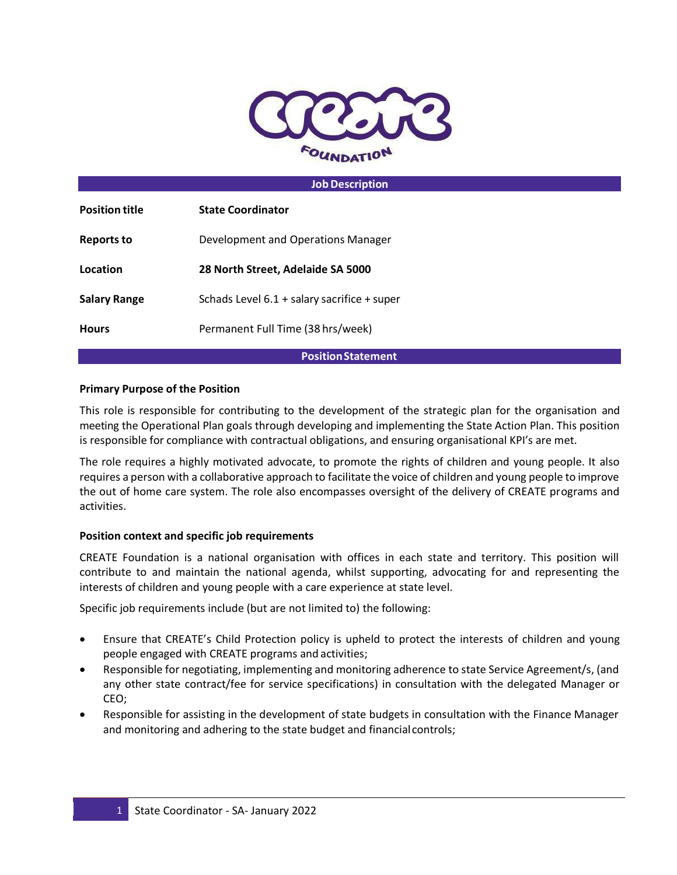

### **Job Description**

| <b>Position title</b> | <b>State Coordinator</b>                      |
|-----------------------|-----------------------------------------------|
| <b>Reports to</b>     | Development and Operations Manager            |
| Location              | 28 North Street, Adelaide SA 5000             |
| <b>Salary Range</b>   | Schads Level $6.1 +$ salary sacrifice + super |
| <b>Hours</b>          | Permanent Full Time (38 hrs/week)             |
|                       |                                               |

#### **PositionStatement**

### **Primary Purpose of the Position**

This role is responsible for contributing to the development of the strategic plan for the organisation and meeting the Operational Plan goals through developing and implementing the State Action Plan. This position is responsible for compliance with contractual obligations, and ensuring organisational KPI's are met.

The role requires a highly motivated advocate, to promote the rights of children and young people. It also requires a person with a collaborative approach to facilitate the voice of children and young people to improve the out of home care system. The role also encompasses oversight of the delivery of CREATE programs and activities.

#### **Position context and specific job requirements**

CREATE Foundation is a national organisation with offices in each state and territory. This position will contribute to and maintain the national agenda, whilst supporting, advocating for and representing the interests of children and young people with a care experience at state level.

Specific job requirements include (but are not limited to) the following:

- Ensure that CREATE's Child Protection policy is upheld to protect the interests of children and young people engaged with CREATE programs and activities;
- Responsible for negotiating, implementing and monitoring adherence to state Service Agreement/s, (and any other state contract/fee for service specifications) in consultation with the delegated Manager or CEO;
- Responsible for assisting in the development of state budgets in consultation with the Finance Manager and monitoring and adhering to the state budget and financial controls;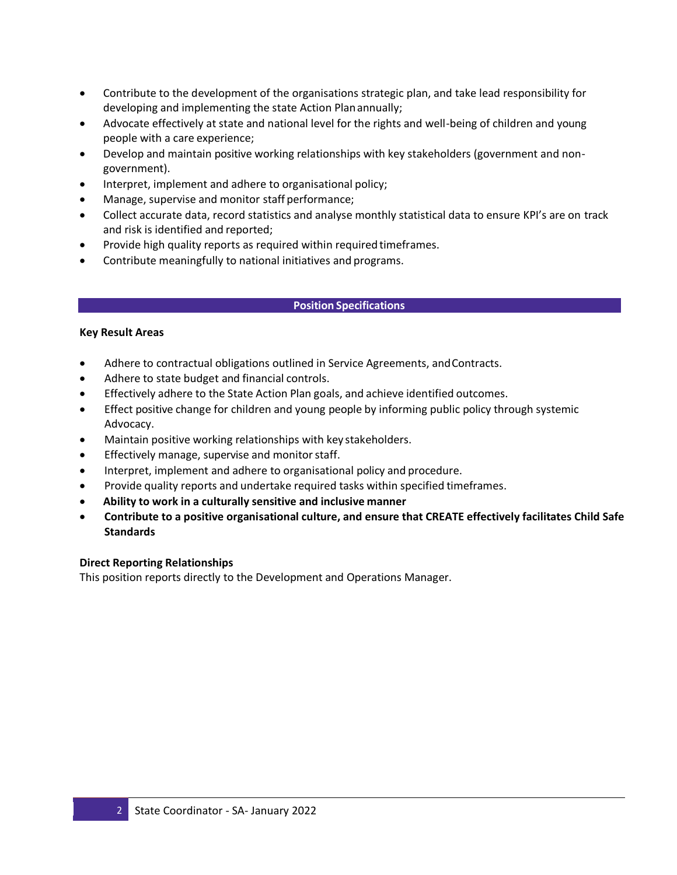- Contribute to the development of the organisations strategic plan, and take lead responsibility for developing and implementing the state Action Planannually;
- Advocate effectively at state and national level for the rights and well-being of children and young people with a care experience;
- Develop and maintain positive working relationships with key stakeholders (government and nongovernment).
- Interpret, implement and adhere to organisational policy;
- Manage, supervise and monitor staff performance;
- Collect accurate data, record statistics and analyse monthly statistical data to ensure KPI's are on track and risk is identified and reported;
- Provide high quality reports as required within required timeframes.
- Contribute meaningfully to national initiatives and programs.

### **Position Specifications**

### **Key Result Areas**

- Adhere to contractual obligations outlined in Service Agreements, andContracts.
- Adhere to state budget and financial controls.
- Effectively adhere to the State Action Plan goals, and achieve identified outcomes.
- Effect positive change for children and young people by informing public policy through systemic Advocacy.
- Maintain positive working relationships with key stakeholders.
- **•** Effectively manage, supervise and monitor staff.
- Interpret, implement and adhere to organisational policy and procedure.
- Provide quality reports and undertake required tasks within specified timeframes.
- **Ability to work in a culturally sensitive and inclusive manner**
- **Contribute to a positive organisational culture, and ensure that CREATE effectively facilitates Child Safe Standards**

### **Direct Reporting Relationships**

This position reports directly to the Development and Operations Manager.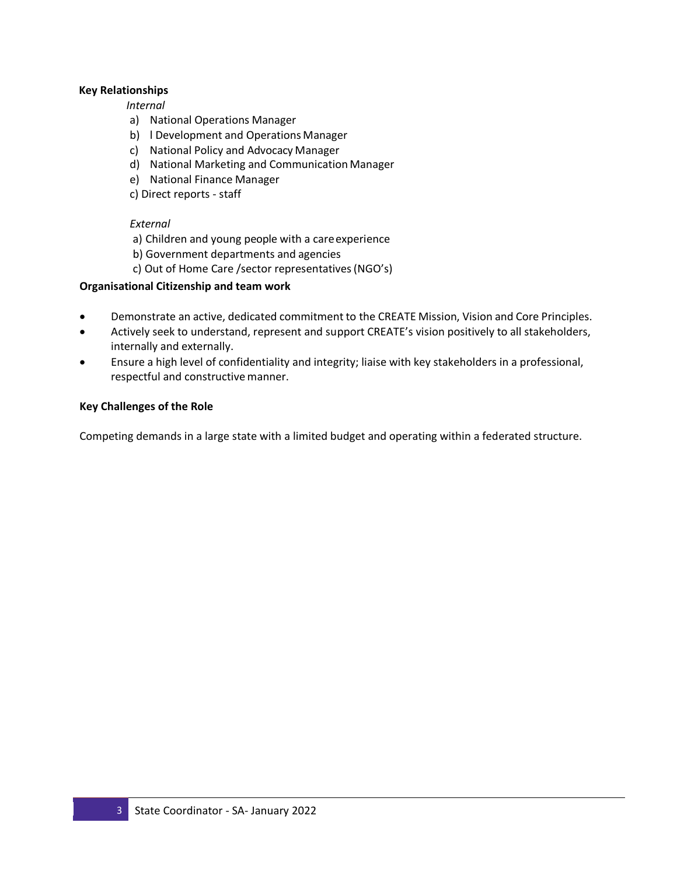## **Key Relationships**

### *Internal*

- a) National Operations Manager
- b) l Development and Operations Manager
- c) National Policy and Advocacy Manager
- d) National Marketing and Communication Manager
- e) National Finance Manager
- c) Direct reports staff

## *External*

- a) Children and young people with a careexperience
- b) Government departments and agencies
- c) Out of Home Care /sector representatives(NGO's)

# **Organisational Citizenship and team work**

- Demonstrate an active, dedicated commitment to the CREATE Mission, Vision and Core Principles.
- Actively seek to understand, represent and support CREATE's vision positively to all stakeholders, internally and externally.
- Ensure a high level of confidentiality and integrity; liaise with key stakeholders in a professional, respectful and constructive manner.

## **Key Challenges of the Role**

Competing demands in a large state with a limited budget and operating within a federated structure.